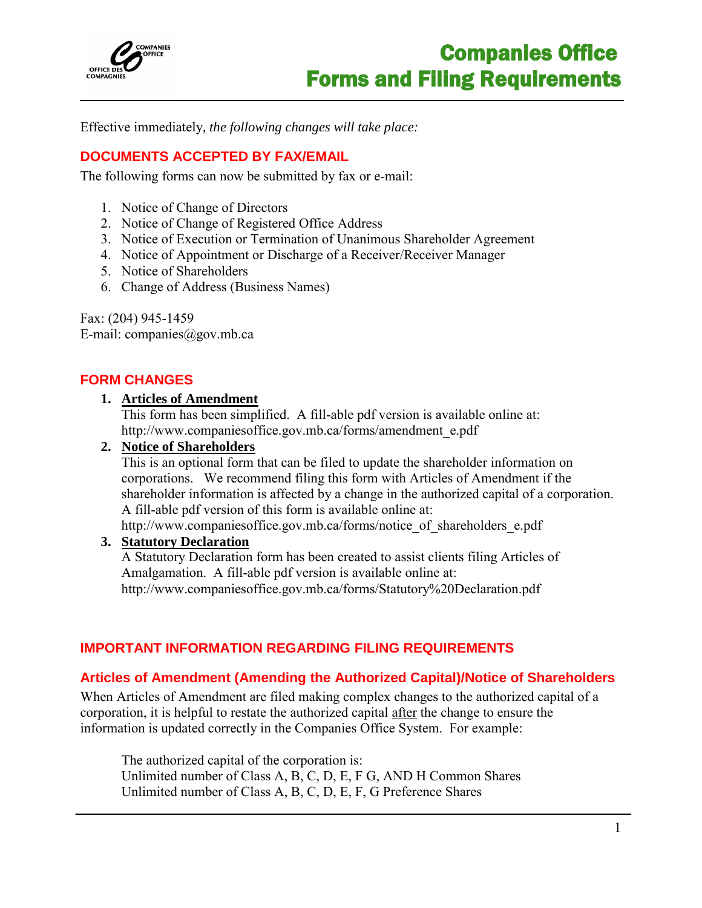

I

Effective immediately*, the following changes will take place:*

# **DOCUMENTS ACCEPTED BY FAX/EMAIL**

The following forms can now be submitted by fax or e-mail:

- 1. Notice of Change of Directors
- 2. Notice of Change of Registered Office Address
- 3. Notice of Execution or Termination of Unanimous Shareholder Agreement
- 4. Notice of Appointment or Discharge of a Receiver/Receiver Manager
- 5. Notice of Shareholders
- 6. Change of Address (Business Names)

Fax: (204) 945-1459 E-mail: [companies@gov.mb.ca](mailto:companies@gov.mb.ca)

## **FORM CHANGES**

#### **1. Articles of Amendment**

This form has been simplified. A fill-able pdf version is available online at: http://www.companiesoffice.gov.mb.ca/forms/amendment\_e.pdf

#### **2. Notice of Shareholders**

This is an optional form that can be filed to update the shareholder information on corporations. We recommend filing this form with Articles of Amendment if the shareholder information is affected by a change in the authorized capital of a corporation. A fill-able pdf version of this form is available online at: http://www.companiesoffice.gov.mb.ca/forms/notice\_of\_shareholders\_e.pdf

#### **3. Statutory Declaration**

A Statutory Declaration form has been created to assist clients filing Articles of Amalgamation. A fill-able pdf version is available online at: http://www.companiesoffice.gov.mb.ca/forms/Statutory%20Declaration.pdf

## **IMPORTANT INFORMATION REGARDING FILING REQUIREMENTS**

#### **Articles of Amendment (Amending the Authorized Capital)/Notice of Shareholders**

When Articles of Amendment are filed making complex changes to the authorized capital of a corporation, it is helpful to restate the authorized capital after the change to ensure the information is updated correctly in the Companies Office System. For example:

The authorized capital of the corporation is: Unlimited number of Class A, B, C, D, E, F G, AND H Common Shares Unlimited number of Class A, B, C, D, E, F, G Preference Shares